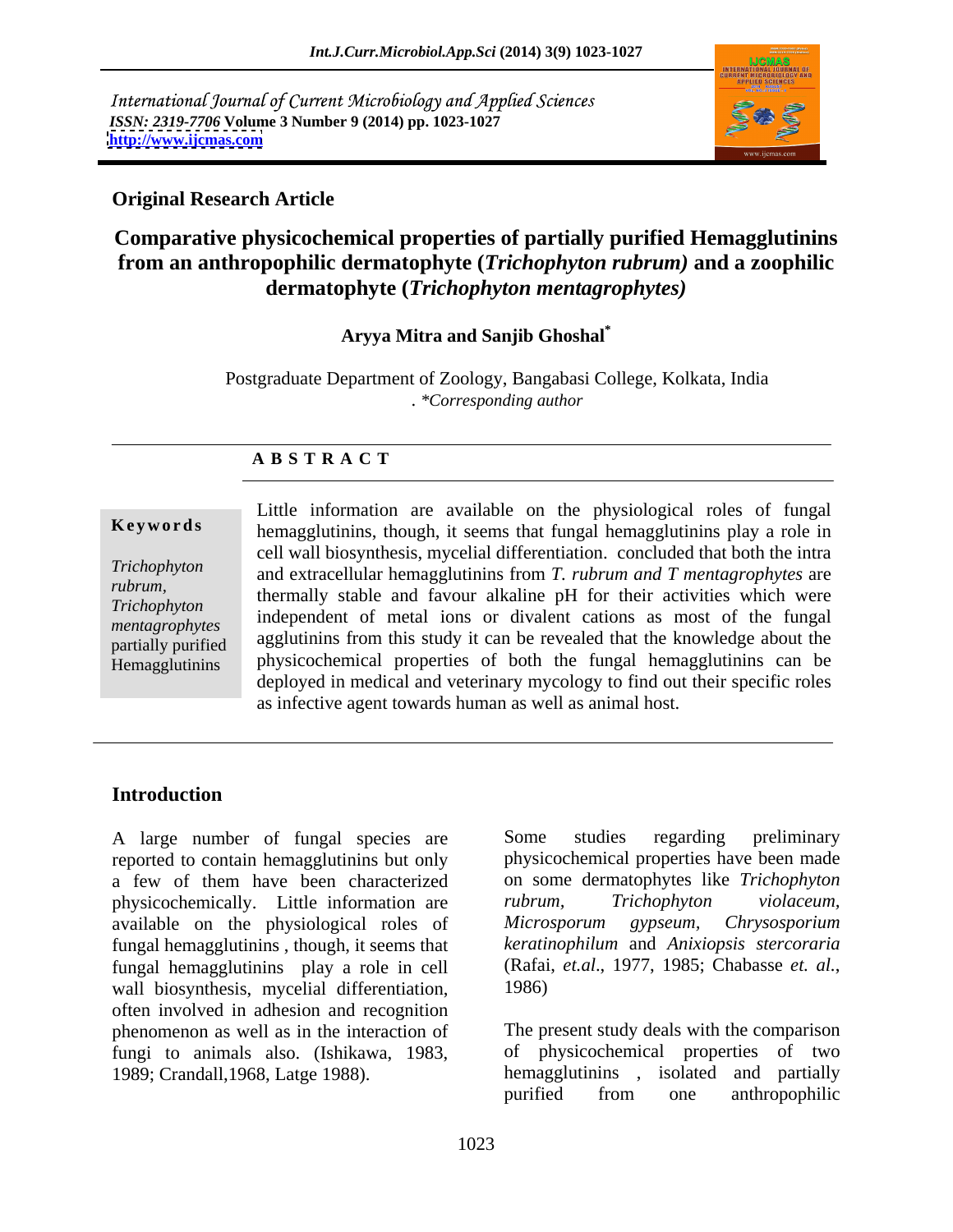International Journal of Current Microbiology and Applied Sciences *ISSN: 2319-7706* **Volume 3 Number 9 (2014) pp. 1023-1027 <http://www.ijcmas.com>**



## **Original Research Article**

# **Comparative physicochemical properties of partially purified Hemagglutinins from an anthropophilic dermatophyte (***Trichophyton rubrum)* **and a zoophilic dermatophyte (***Trichophyton mentagrophytes)*

## **Aryya Mitra and Sanjib Ghoshal\***

Postgraduate Department of Zoology, Bangabasi College, Kolkata, India . *\*Corresponding author* 

## **A B S T R A C T**

**Keywords** hemagglutinins, though, it seems that fungal hemagglutinins play a role in *Trichophyton*  and extracellular hemagglutinins from *T. rubrum and T mentagrophytes* are *rubrum*,<br>
thermally stable and favour alkaline pH for their activities which were *Trichophyton induser and avoid and avoid and the property of the finite with the finite of the finite of the finite of the finite of the finite of the finite of the finite of the finite of the finite of the finite of t mentagrophytes* independent of metal ions or divalent cations as most of the fungal partially purified agglutinins from this study it can be revealed that the knowledge about the Hemagglutinins physicochemical properties of both the fungal hemagglutinins can be Little information are available on the physiological roles of fungal cell wall biosynthesis, mycelial differentiation. concluded that both the intra deployed in medical and veterinary mycology to find out their specific roles as infective agent towards human as well as animal host.

## **Introduction**

reported to contain hemagglutinins but only a few of them have been characterized on some dermatophytes like *Trichophyton*  physicochemically. Little information are *rubrum*, *Trichophyton violaceum*, available on the physiological roles of Microsporum gypseum, Chrysosporium fungal hemagglutinins , though, it seems that fungal hemagglutinins play a role in cell (Rafai, *et.al.*, 1977, 1985; Chabasse *et. al.*, wall biosynthesis, mycelial differentiation, 1986) often involved in adhesion and recognition phenomenon as well as in the interaction of fungi to animals also. (Ishikawa, 1983,

A large number of fungal species are Some studies regarding preliminary Some studies regarding preliminary physicochemical properties have been made *rubrum, Trichophyton violaceum, Microsporum gypseum, Chrysosporium keratinophilum* and *Anixiopsis stercoraria* (Rafai, *et.al*., 1977, 1985; Chabasse *et. al.*, 1986)

1989; Crandall,1968, Latge 1988). hemagglutinins , isolated and partially The present study deals with the comparison of physicochemical properties of two purified from one anthropophilic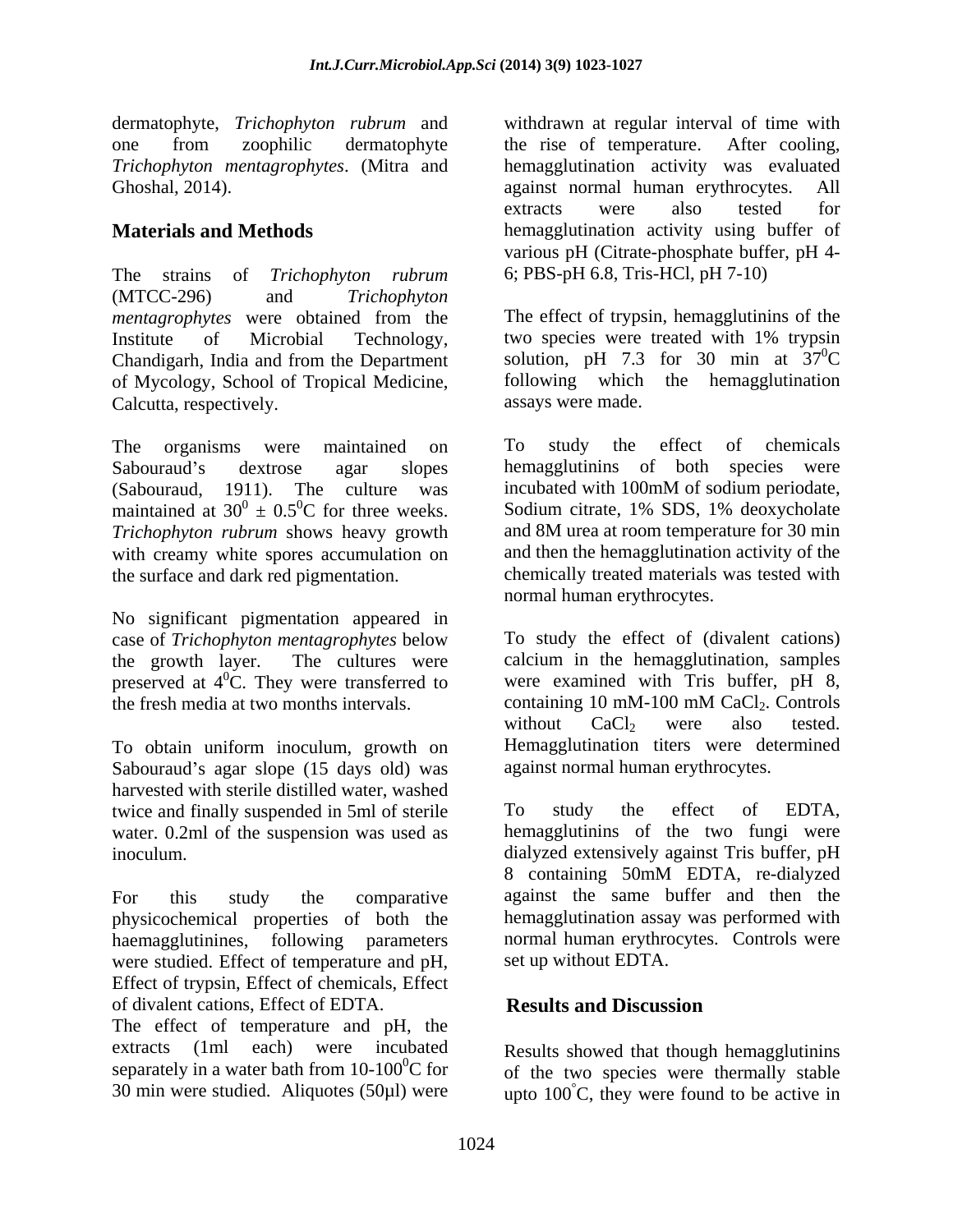The strains of *Trichophyton rubrum* (MTCC-296) and *Trichophyton*  of Mycology, School of Tropical Medicine, Calcutta, respectively.

(Sabouraud, 1911). The culture was incubated with 100mM of sodium periodate, *Trichophyton rubrum* shows heavy growth with creamy white spores accumulation on

No significant pigmentation appeared in case of *Trichophyton mentagrophytes* below preserved at  $4^{\circ}$ C. They were transferred to the fresh media at two months intervals.

To obtain uniform inoculum, growth on Sabouraud's agar slope (15 days old) was harvested with sterile distilled water, washed twice and finally suspended in 5ml of sterile To study the effect of EDTA, water. 0.2ml of the suspension was used as

physicochemical properties of both the were studied. Effect of temperature and pH, Effect of trypsin, Effect of chemicals, Effect of divalent cations, Effect of EDTA.

The effect of temperature and pH, the extracts (1ml each) were incubated Results showed that though hemagglutinins separately in a water bath from  $10-100^{\circ}$ C for

dermatophyte, *Trichophyton rubrum* and withdrawn at regular interval of time with one from zoophilic dermatophyte the rise of temperature. After cooling, *Trichophyton mentagrophytes*. (Mitra and hemagglutination activity was evaluated Ghoshal, 2014). against normal human erythrocytes. All **Materials and Methods hemagglutination** activity using buffer of the rise of temperature. After cooling, extracts were also tested for various pH (Citrate-phosphate buffer, pH 4- 6; PBS-pH 6.8, Tris-HCl, pH 7-10)

*mentagrophytes* were obtained from the Institute of Microbial Technology, two species were treated with 1% trypsin Chandigarh, India and from the Department solution,  $pH$  7.3 for 30 min at  $37^{\circ}C$ The effect of trypsin, hemagglutinins of the  ${}^{0}C$ following which the hemagglutination assays were made.

The organisms were maintained on To study the effect of chemicals Sabouraud's dextrose agar slopes hemagglutinins of both species were maintained at  $30^0 \pm 0.5^0$ C for three weeks. Sodium citrate, 1% SDS, 1% deoxycholate the surface and dark red pigmentation. chemically treated materials was tested with To study the effect of chemicals incubated with 100mM of sodium periodate, and 8M urea at room temperature for 30 min and then the hemagglutination activity of the normal human erythrocytes.

the growth layer. The cultures were calcium in the hemagglutination, samples  ${}^{0}$ C. They were transferred to were examined with Tris buffer, pH 8, containing 10 mM-100 mM CaCl<sub>2</sub>. Controls<br>without CaCl<sub>2</sub> were also tested. To study the effect of (divalent cations) containing 10 mM-100 mM CaCl<sub>2</sub>. Controls without  $CaCl<sub>2</sub>$  were also tested. Hemagglutination titers were determined against normal human erythrocytes.

inoculum. dialyzed extensively against Tris buffer, pH For this study the comparative against the same buffer and then the haemagglutinines, following parameters normal human erythrocytes. Controls were To study the effect of EDTA, hemagglutinins of the two fungi were 8 containing 50mM EDTA, re-dialyzed hemagglutination assay was performed with set up without EDTA.

## **Results and Discussion**

30 min were studied. Aliquotes (50 $\mu$ l) were  $\mu$  upto 100°C, they were found to be active in of the two species were thermally stable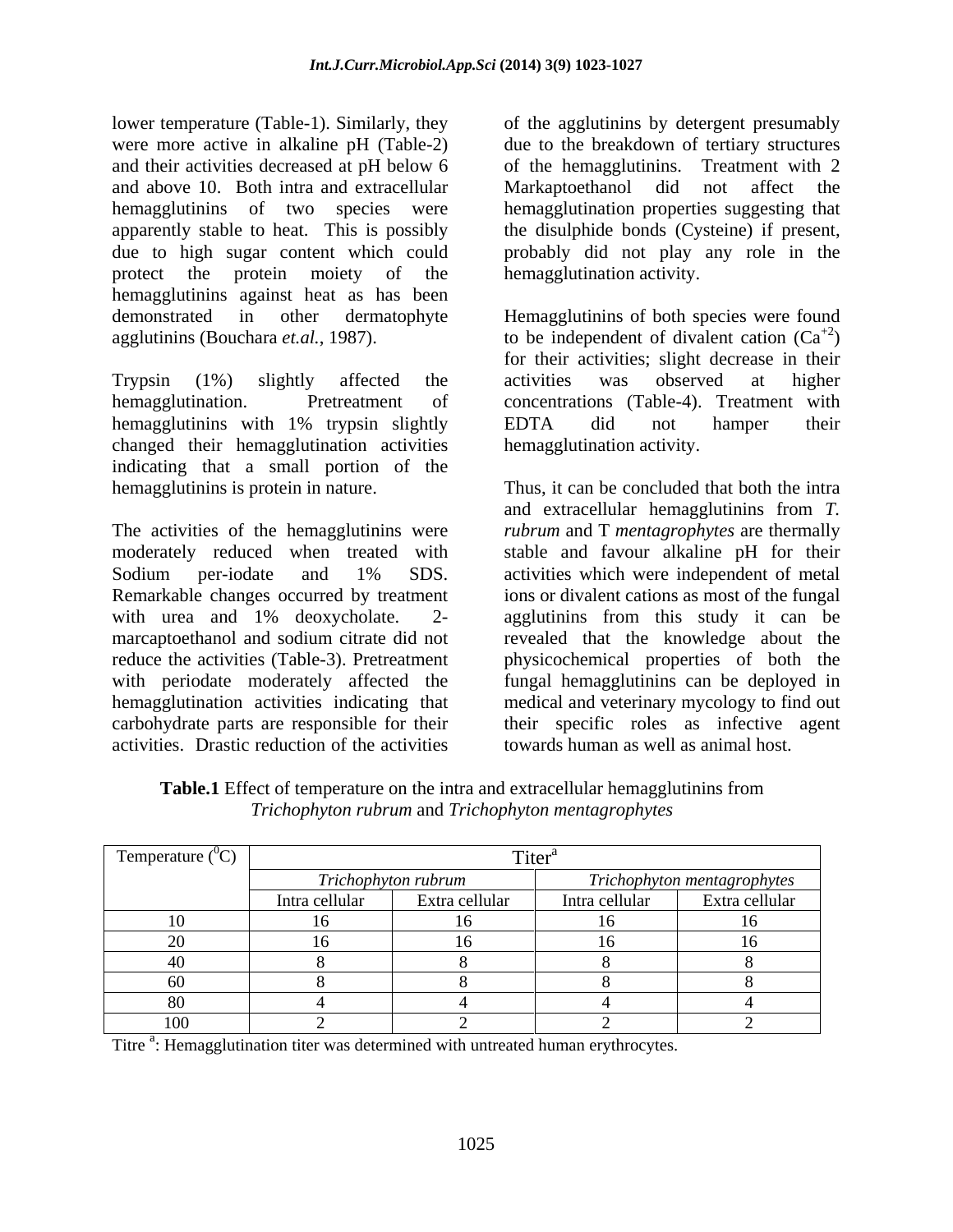lower temperature (Table-1). Similarly, they of the agglutinins by detergent presumably were more active in alkaline pH (Table-2) due to the breakdown of tertiary structures and their activities decreased at pH below 6 of the hemagglutinins. Treatment with 2 and above 10. Both intra and extracellular Markaptoethanol did not affect the hemagglutinins of two species were hemagglutination properties suggesting that apparently stable to heat. This is possibly the disulphide bonds (Cysteine) if present, due to high sugar content which could probably did not play any role in the protect the protein moiety of the hemagglutination activity. hemagglutinins against heat as has been demonstrated in other dermatophyte Hemagglutinins of both species were found agglutinins (Bouchara *et.al.*, 1987).  $\qquad \qquad$  to be independent of divalent cation  $(Ca^{+2})$ 

Trypsin (1%) slightly affected the hemagglutination. Pretreatment of concentrations (Table-4). Treatment with hemagglutinins with 1% trypsin slightly EDTA did not hamper their changed their hemagglutination activities indicating that a small portion of the

marcaptoethanol and sodium citrate did not with periodate moderately affected the activities. Drastic reduction of the activities

Markaptoethanol did not affect the hemagglutination activity.

 $^{+2}$ ) for their activities; slight decrease in their activities was observed at higher EDTA did not hamper their hemagglutination activity.

hemagglutinins is protein in nature. Thus, it can be concluded that both the intra The activities of the hemagglutinins were *rubrum* and T *mentagrophytes* are thermally moderately reduced when treated with stable and favour alkaline pH for their Sodium per-iodate and 1% SDS. activities which were independent of metal Remarkable changes occurred by treatment ions or divalent cations as most of the fungal with urea and 1% deoxycholate. 2- agglutinins from this study it can be reduce the activities (Table-3). Pretreatment physicochemical properties of both the hemagglutination activities indicating that medical and veterinary mycology to find out carbohydrate parts are responsible for their their specific roles as infective agent and extracellular hemagglutinins from *T.*  activities which were independent of metal revealed that the knowledge about the fungal hemagglutinins can be deployed in towards human as well as animal host.

| Temperature $(^{\circ}C)$ |                     |                |                             |                |
|---------------------------|---------------------|----------------|-----------------------------|----------------|
|                           | Trichophyton rubrum |                | Trichophyton mentagrophytes |                |
|                           | Intra cellular      | Extra cellular | Intra cellular              | Extra cellular |
|                           |                     |                | .                           |                |
|                           |                     |                | 1 <sub>c</sub>              |                |
|                           |                     |                |                             |                |
|                           |                     |                |                             |                |
|                           |                     |                |                             |                |
| 100                       |                     |                |                             |                |

**Table.1** Effect of temperature on the intra and extracellular hemagglutinins from *Trichophyton rubrum* and *Trichophyton mentagrophytes*

Titre <sup>a</sup>: Hemagglutination titer was determined with untreated human erythrocytes.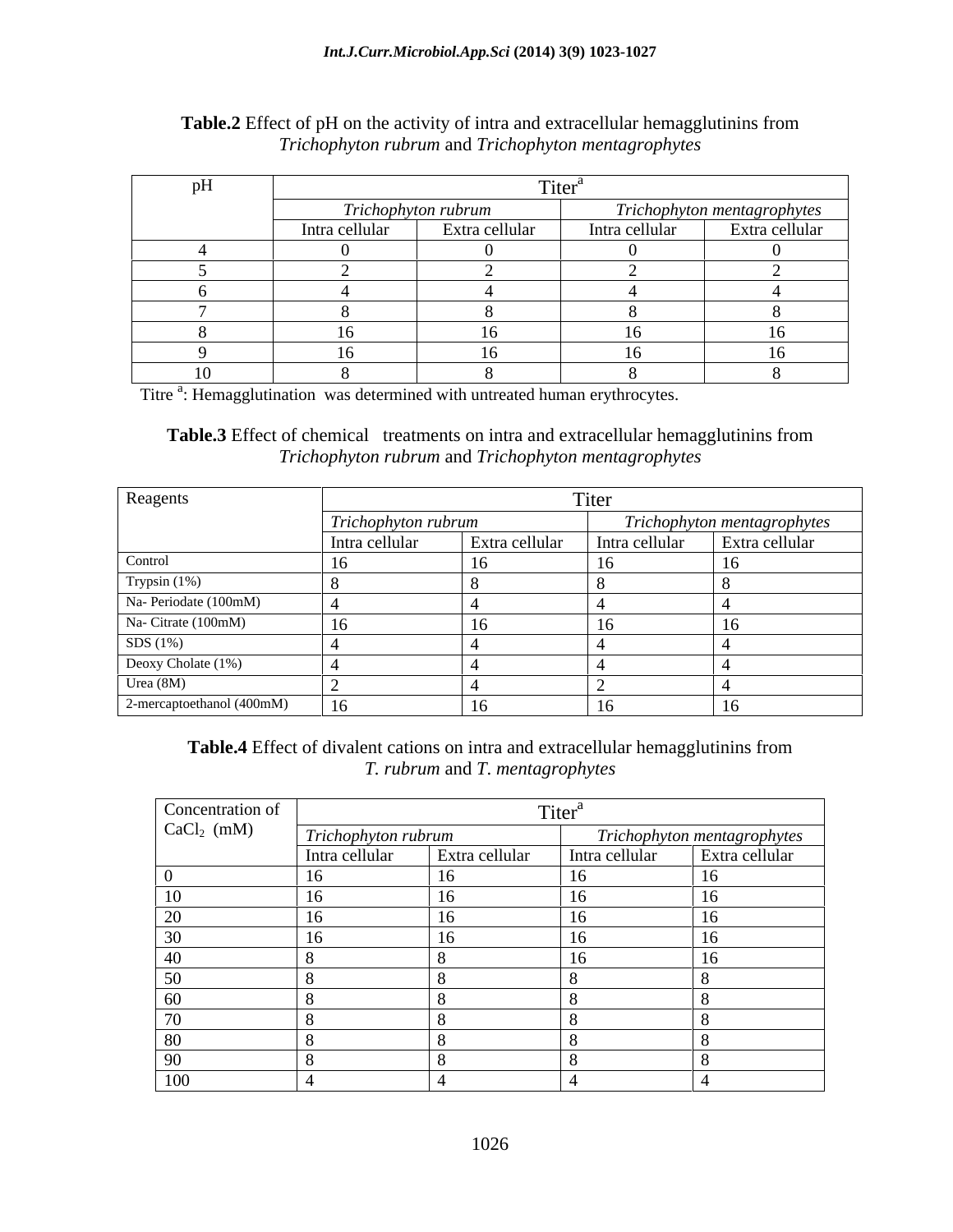| $- -$<br>'nН<br>PIL |                     |                |                             |                |
|---------------------|---------------------|----------------|-----------------------------|----------------|
|                     | Trichophyton rubrum |                | Trichophyton mentagrophytes |                |
|                     | Intra cellular      | Extra cellular | Intra cellular              | Extra cellular |
|                     |                     |                |                             |                |
|                     |                     |                |                             |                |
|                     |                     |                |                             |                |
|                     |                     |                |                             |                |
|                     |                     |                | .                           | 16             |
|                     |                     |                | $\sim$ $\sim$               | 16             |
| 1 <sub>0</sub>      |                     |                |                             |                |

### **Table.2** Effect of pH on the activity of intra and extracellular hemagglutinins from *Trichophyton rubrum* and *Trichophyton mentagrophytes*

Titre <sup>a</sup>: Hemagglutination was determined with untreated human erythrocytes.

**Table.3** Effect of chemical treatments on intra and extracellular hemagglutinins from *Trichophyton rubrum* and *Trichophyton mentagrophytes*

| Reagents                  | Titer               |                |                             |                |
|---------------------------|---------------------|----------------|-----------------------------|----------------|
|                           | Trichophyton rubrum |                | Trichophyton mentagrophytes |                |
|                           | Intra cellular      | Extra cellular | Intra cellular              | Extra cellular |
| Control                   |                     |                | 16                          |                |
| Trypsin (1%)              |                     |                |                             |                |
| Na- Periodate (100mM)     |                     |                |                             |                |
| Na- Citrate (100mM)       |                     |                |                             |                |
| SDS(1%)                   |                     |                |                             |                |
| Deoxy Cholate (1%)        |                     |                |                             |                |
| Urea (8M)                 |                     |                |                             |                |
| 2-mercaptoethanol (400mM) | 16                  |                | 16                          | -10            |

**Table.4** Effect of divalent cations on intra and extracellular hemagglutinins from *T. rubrum* and *T*. *mentagrophytes*

| Concentration of<br>CaCl <sub>2</sub> (mM) | Titer <sup>a</sup>  |                |                                                             |  |  |
|--------------------------------------------|---------------------|----------------|-------------------------------------------------------------|--|--|
|                                            | Trichophyton rubrum |                | Trichophyton mentagrophytes<br>1tra cellular Extra cellular |  |  |
|                                            | Intra cellular      | Extra cellular | Intra cellular                                              |  |  |
|                                            |                     |                |                                                             |  |  |
|                                            |                     |                |                                                             |  |  |
| $\Omega$<br>ZU                             |                     |                |                                                             |  |  |
| 30                                         |                     |                |                                                             |  |  |
| 40                                         |                     |                |                                                             |  |  |
| 50                                         |                     |                |                                                             |  |  |
| 60                                         |                     |                |                                                             |  |  |
| $\sim$                                     |                     |                |                                                             |  |  |
| 80                                         |                     |                |                                                             |  |  |
| 90                                         |                     |                |                                                             |  |  |
| 100                                        |                     |                |                                                             |  |  |